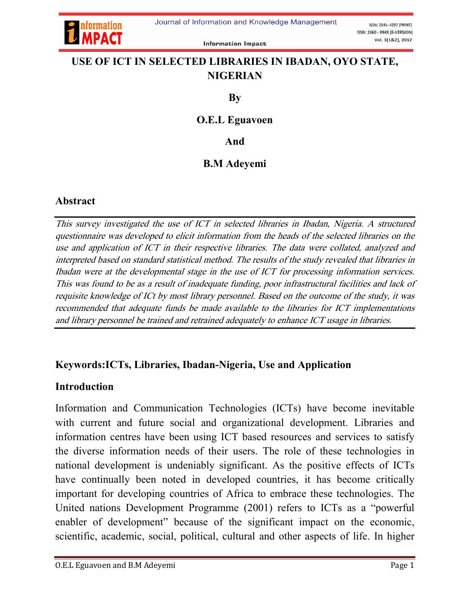

**Information Impact** 

# USE OF ICT IN SELECTED LIBRARIES IN IBADAN, OYO STATE, NIGERIAN

By

#### O.E.L Eguavoen

And

### B.M Adeyemi

### Abstract

This survey investigated the use of ICT in selected libraries in Ibadan, Nigeria. A structured questionnaire was developed to elicit information from the heads of the selected libraries on the use and application of ICT in their respective libraries. The data were collated, analyzed and interpreted based on standard statistical method. The results of the study revealed that libraries in Ibadan were at the developmental stage in the use of ICT for processing information services. This was found to be as a result of inadequate funding, poor infrastructural facilities and lack of requisite knowledge of ICt by most library personnel. Based on the outcome of the study, it was recommended that adequate funds be made available to the libraries for ICT implementations and library personnel be trained and retrained adequately to enhance ICT usage in libraries.

### Keywords:ICTs, Libraries, Ibadan-Nigeria, Use and Application

#### Introduction

Information and Communication Technologies (ICTs) have become inevitable with current and future social and organizational development. Libraries and information centres have been using ICT based resources and services to satisfy the diverse information needs of their users. The role of these technologies in national development is undeniably significant. As the positive effects of ICTs have continually been noted in developed countries, it has become critically important for developing countries of Africa to embrace these technologies. The United nations Development Programme (2001) refers to ICTs as a "powerful enabler of development" because of the significant impact on the economic, scientific, academic, social, political, cultural and other aspects of life. In higher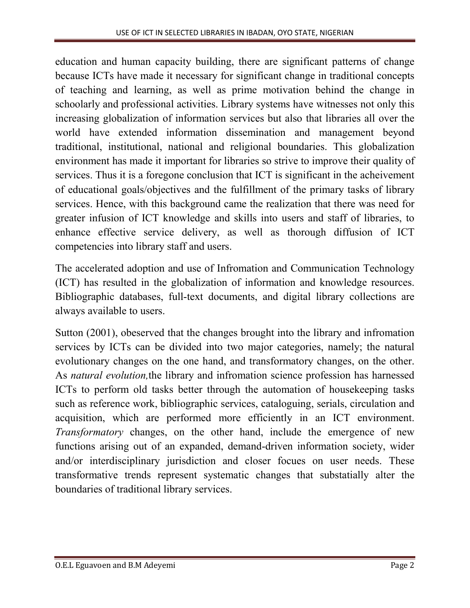education and human capacity building, there are significant patterns of change because ICTs have made it necessary for significant change in traditional concepts of teaching and learning, as well as prime motivation behind the change in schoolarly and professional activities. Library systems have witnesses not only this increasing globalization of information services but also that libraries all over the world have extended information dissemination and management beyond traditional, institutional, national and religional boundaries. This globalization environment has made it important for libraries so strive to improve their quality of services. Thus it is a foregone conclusion that ICT is significant in the acheivement of educational goals/objectives and the fulfillment of the primary tasks of library services. Hence, with this background came the realization that there was need for greater infusion of ICT knowledge and skills into users and staff of libraries, to enhance effective service delivery, as well as thorough diffusion of ICT competencies into library staff and users.

The accelerated adoption and use of Infromation and Communication Technology (ICT) has resulted in the globalization of information and knowledge resources. Bibliographic databases, full-text documents, and digital library collections are always available to users.

Sutton (2001), obeserved that the changes brought into the library and infromation services by ICTs can be divided into two major categories, namely; the natural evolutionary changes on the one hand, and transformatory changes, on the other. As *natural evolution,*the library and infromation science profession has harnessed ICTs to perform old tasks better through the automation of housekeeping tasks such as reference work, bibliographic services, cataloguing, serials, circulation and acquisition, which are performed more efficiently in an ICT environment. *Transformatory* changes, on the other hand, include the emergence of new functions arising out of an expanded, demand-driven information society, wider and/or interdisciplinary jurisdiction and closer focues on user needs. These transformative trends represent systematic changes that substatially alter the boundaries of traditional library services.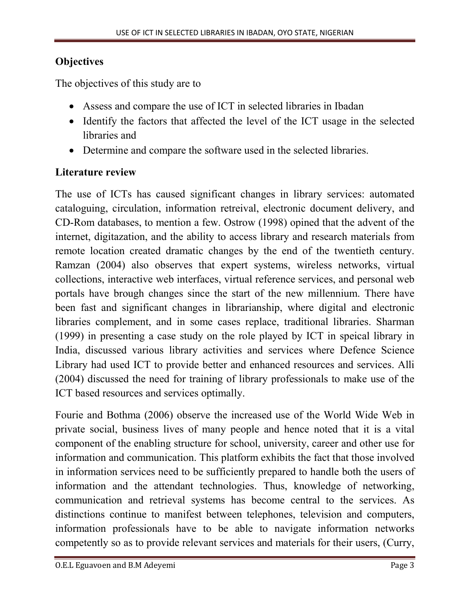# **Objectives**

The objectives of this study are to

- Assess and compare the use of ICT in selected libraries in Ibadan
- Identify the factors that affected the level of the ICT usage in the selected libraries and
- Determine and compare the software used in the selected libraries.

# Literature review

The use of ICTs has caused significant changes in library services: automated cataloguing, circulation, information retreival, electronic document delivery, and CD-Rom databases, to mention a few. Ostrow (1998) opined that the advent of the internet, digitazation, and the ability to access library and research materials from remote location created dramatic changes by the end of the twentieth century. Ramzan (2004) also observes that expert systems, wireless networks, virtual collections, interactive web interfaces, virtual reference services, and personal web portals have brough changes since the start of the new millennium. There have been fast and significant changes in librarianship, where digital and electronic libraries complement, and in some cases replace, traditional libraries. Sharman (1999) in presenting a case study on the role played by ICT in speical library in India, discussed various library activities and services where Defence Science Library had used ICT to provide better and enhanced resources and services. Alli (2004) discussed the need for training of library professionals to make use of the ICT based resources and services optimally.

Fourie and Bothma (2006) observe the increased use of the World Wide Web in private social, business lives of many people and hence noted that it is a vital component of the enabling structure for school, university, career and other use for information and communication. This platform exhibits the fact that those involved in information services need to be sufficiently prepared to handle both the users of information and the attendant technologies. Thus, knowledge of networking, communication and retrieval systems has become central to the services. As distinctions continue to manifest between telephones, television and computers, information professionals have to be able to navigate information networks competently so as to provide relevant services and materials for their users, (Curry,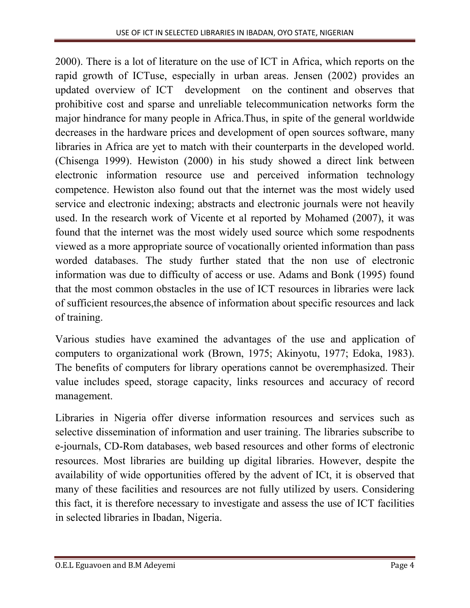2000). There is a lot of literature on the use of ICT in Africa, which reports on the rapid growth of ICTuse, especially in urban areas. Jensen (2002) provides an updated overview of ICT development on the continent and observes that prohibitive cost and sparse and unreliable telecommunication networks form the major hindrance for many people in Africa.Thus, in spite of the general worldwide decreases in the hardware prices and development of open sources software, many libraries in Africa are yet to match with their counterparts in the developed world. (Chisenga 1999). Hewiston (2000) in his study showed a direct link between electronic information resource use and perceived information technology competence. Hewiston also found out that the internet was the most widely used service and electronic indexing; abstracts and electronic journals were not heavily used. In the research work of Vicente et al reported by Mohamed (2007), it was found that the internet was the most widely used source which some respodnents viewed as a more appropriate source of vocationally oriented information than pass worded databases. The study further stated that the non use of electronic information was due to difficulty of access or use. Adams and Bonk (1995) found that the most common obstacles in the use of ICT resources in libraries were lack of sufficient resources,the absence of information about specific resources and lack of training.

Various studies have examined the advantages of the use and application of computers to organizational work (Brown, 1975; Akinyotu, 1977; Edoka, 1983). The benefits of computers for library operations cannot be overemphasized. Their value includes speed, storage capacity, links resources and accuracy of record management.

Libraries in Nigeria offer diverse information resources and services such as selective dissemination of information and user training. The libraries subscribe to e-journals, CD-Rom databases, web based resources and other forms of electronic resources. Most libraries are building up digital libraries. However, despite the availability of wide opportunities offered by the advent of ICt, it is observed that many of these facilities and resources are not fully utilized by users. Considering this fact, it is therefore necessary to investigate and assess the use of ICT facilities in selected libraries in Ibadan, Nigeria.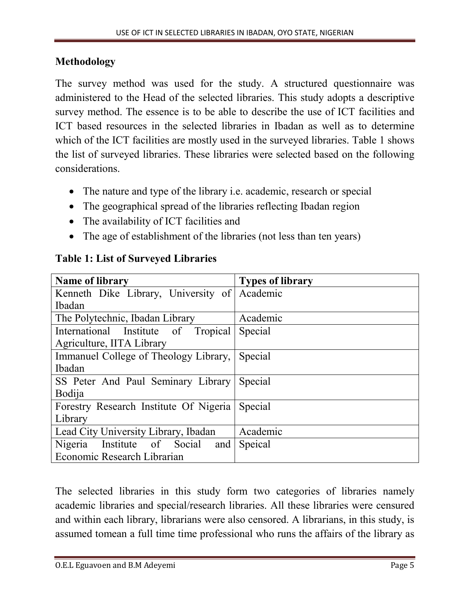### Methodology

The survey method was used for the study. A structured questionnaire was administered to the Head of the selected libraries. This study adopts a descriptive survey method. The essence is to be able to describe the use of ICT facilities and ICT based resources in the selected libraries in Ibadan as well as to determine which of the ICT facilities are mostly used in the surveyed libraries. Table 1 shows the list of surveyed libraries. These libraries were selected based on the following considerations.

- The nature and type of the library i.e. academic, research or special
- The geographical spread of the libraries reflecting Ibadan region
- The availability of ICT facilities and
- The age of establishment of the libraries (not less than ten years)

| <b>Name of library</b>                       | <b>Types of library</b> |  |  |
|----------------------------------------------|-------------------------|--|--|
| Kenneth Dike Library, University of Academic |                         |  |  |
| Ibadan                                       |                         |  |  |
| The Polytechnic, Ibadan Library              | Academic                |  |  |
| International Institute of Tropical          | Special                 |  |  |
| Agriculture, IITA Library                    |                         |  |  |
| Immanuel College of Theology Library,        | Special                 |  |  |
| <b>Ibadan</b>                                |                         |  |  |
| SS Peter And Paul Seminary Library           | Special                 |  |  |
| <b>Bodija</b>                                |                         |  |  |
| Forestry Research Institute Of Nigeria       | Special                 |  |  |
| Library                                      |                         |  |  |
| Lead City University Library, Ibadan         | Academic                |  |  |
| Nigeria Institute of Social<br>and           | Speical                 |  |  |
| Economic Research Librarian                  |                         |  |  |

#### Table 1: List of Surveyed Libraries

The selected libraries in this study form two categories of libraries namely academic libraries and special/research libraries. All these libraries were censured and within each library, librarians were also censored. A librarians, in this study, is assumed tomean a full time time professional who runs the affairs of the library as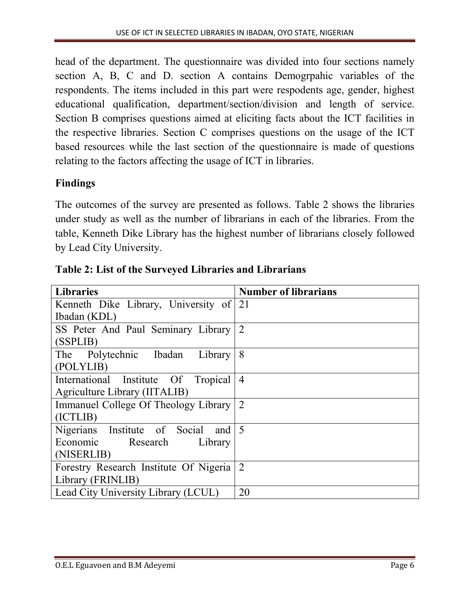head of the department. The questionnaire was divided into four sections namely section A, B, C and D. section A contains Demogrpahic variables of the respondents. The items included in this part were respodents age, gender, highest educational qualification, department/section/division and length of service. Section B comprises questions aimed at eliciting facts about the ICT facilities in the respective libraries. Section C comprises questions on the usage of the ICT based resources while the last section of the questionnaire is made of questions relating to the factors affecting the usage of ICT in libraries.

# Findings

The outcomes of the survey are presented as follows. Table 2 shows the libraries under study as well as the number of librarians in each of the libraries. From the table, Kenneth Dike Library has the highest number of librarians closely followed by Lead City University.

| <b>Libraries</b>                                     | <b>Number of librarians</b> |
|------------------------------------------------------|-----------------------------|
| Kenneth Dike Library, University of 21               |                             |
| Ibadan (KDL)                                         |                             |
| SS Peter And Paul Seminary Library                   | 2                           |
| (SSPLIB)                                             |                             |
| The Polytechnic Ibadan<br>Library                    | 8                           |
| (POLYLIB)                                            |                             |
| International Institute Of Tropical                  | $\overline{4}$              |
| Agriculture Library (IITALIB)                        |                             |
| Immanuel College Of Theology Library 2               |                             |
| (ICTLIB)                                             |                             |
| Nigerians Institute of Social<br>and $\vert 5 \vert$ |                             |
| Economic Research<br>Library                         |                             |
| (NISERLIB)                                           |                             |
| Forestry Research Institute Of Nigeria               | 2                           |
| Library (FRINLIB)                                    |                             |
| Lead City University Library (LCUL)                  | 20                          |

Table 2: List of the Surveyed Libraries and Librarians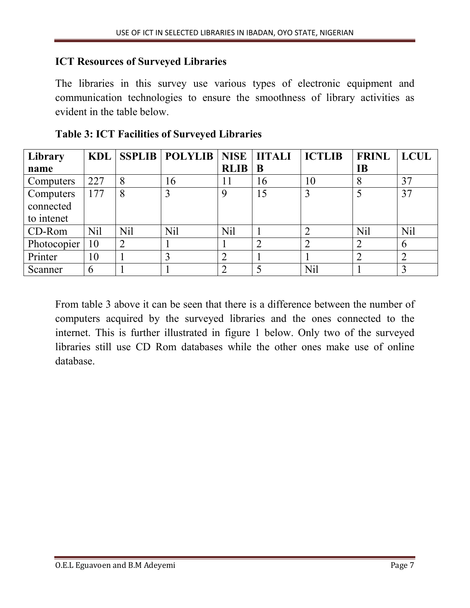### ICT Resources of Surveyed Libraries

The libraries in this survey use various types of electronic equipment and communication technologies to ensure the smoothness of library activities as evident in the table below.

| Library     | KDL        |     | SSPLIB   POLYLIB   NISE   IITALI |                |    | <b>ICTLIB</b> | <b>FRINL</b> | <b>LCUL</b> |
|-------------|------------|-----|----------------------------------|----------------|----|---------------|--------------|-------------|
| name        |            |     |                                  | <b>RLIB</b>    | B  |               | <b>IB</b>    |             |
| Computers   | 227        | 8   | 16                               | 11             | 16 | 10            | 8            | 37          |
| Computers   | 177        | 8   | 3                                | 9              | 15 | 3             |              | 37          |
| connected   |            |     |                                  |                |    |               |              |             |
| to intenet  |            |     |                                  |                |    |               |              |             |
| CD-Rom      | <b>Nil</b> | Nil | N <sub>il</sub>                  | <b>Nil</b>     |    |               | <b>Nil</b>   | Nil         |
| Photocopier | 10         |     |                                  |                |    |               | ⌒            | 6           |
| Printer     | 10         |     |                                  | 2              |    |               | ◠            |             |
| Scanner     | 6          |     |                                  | $\overline{2}$ |    | Nil           |              |             |

Table 3: ICT Facilities of Surveyed Libraries

From table 3 above it can be seen that there is a difference between the number of computers acquired by the surveyed libraries and the ones connected to the internet. This is further illustrated in figure 1 below. Only two of the surveyed libraries still use CD Rom databases while the other ones make use of online database.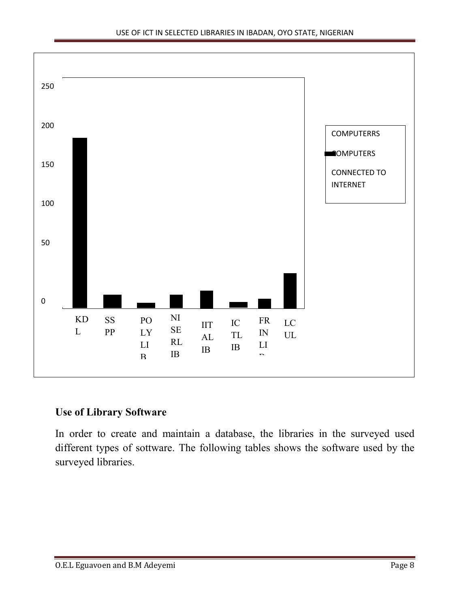

#### Use of Library Software

In order to create and maintain a database, the libraries in the surveyed used different types of sottware. The following tables shows the software used by the surveyed libraries.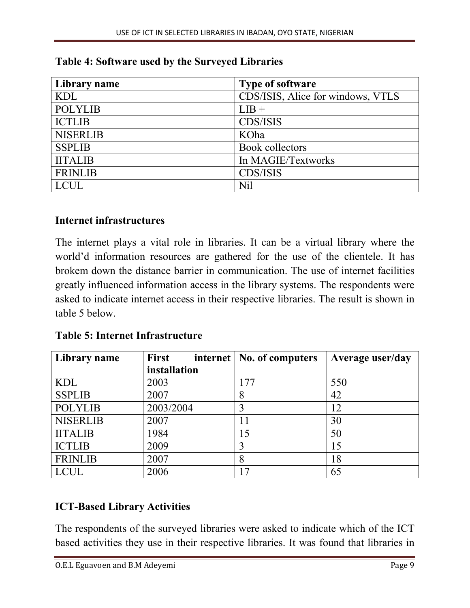| Library name    | <b>Type of software</b>           |
|-----------------|-----------------------------------|
| <b>KDL</b>      | CDS/ISIS, Alice for windows, VTLS |
| <b>POLYLIB</b>  | $LIB +$                           |
| <b>ICTLIB</b>   | <b>CDS/ISIS</b>                   |
| <b>NISERLIB</b> | KOha                              |
| <b>SSPLIB</b>   | Book collectors                   |
| <b>IITALIB</b>  | In MAGIE/Textworks                |
| <b>FRINLIB</b>  | CDS/ISIS                          |
| <b>LCUL</b>     | <b>Nil</b>                        |

|  |  | Table 4: Software used by the Surveyed Libraries |
|--|--|--------------------------------------------------|
|  |  |                                                  |

### Internet infrastructures

The internet plays a vital role in libraries. It can be a virtual library where the world'd information resources are gathered for the use of the clientele. It has brokem down the distance barrier in communication. The use of internet facilities greatly influenced information access in the library systems. The respondents were asked to indicate internet access in their respective libraries. The result is shown in table 5 below.

| <b>Library name</b> | First        | internet   No. of computers | Average user/day |
|---------------------|--------------|-----------------------------|------------------|
|                     | installation |                             |                  |
| <b>KDL</b>          | 2003         | 177                         | 550              |
| <b>SSPLIB</b>       | 2007         |                             | 42               |
| <b>POLYLIB</b>      | 2003/2004    |                             | 12               |
| <b>NISERLIB</b>     | 2007         | 11                          | 30               |
| <b>IITALIB</b>      | 1984         | 15                          | 50               |
| <b>ICTLIB</b>       | 2009         | 3                           | 15               |
| <b>FRINLIB</b>      | 2007         | 8                           | 18               |
| <b>LCUL</b>         | 2006         | 7                           | 65               |

Table 5: Internet Infrastructure

# ICT-Based Library Activities

The respondents of the surveyed libraries were asked to indicate which of the ICT based activities they use in their respective libraries. It was found that libraries in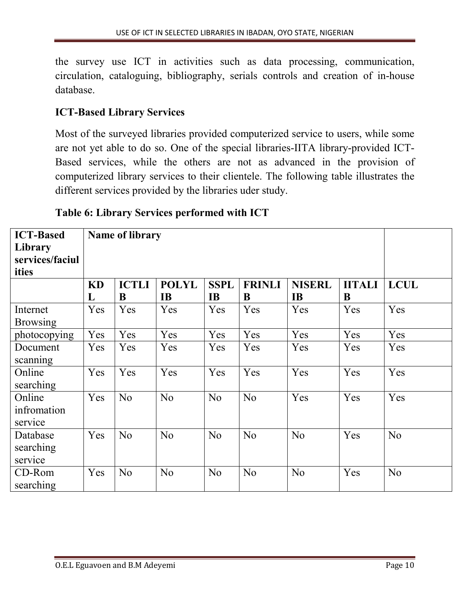the survey use ICT in activities such as data processing, communication, circulation, cataloguing, bibliography, serials controls and creation of in-house database.

# ICT-Based Library Services

Most of the surveyed libraries provided computerized service to users, while some are not yet able to do so. One of the special libraries-IITA library-provided ICT-Based services, while the others are not as advanced in the provision of computerized library services to their clientele. The following table illustrates the different services provided by the libraries uder study.

# Table 6: Library Services performed with ICT

| <b>ICT-Based</b><br>Library<br>services/faciul<br>ities | <b>Name of library</b> |                   |                           |                          |                    |                            |                    |                |
|---------------------------------------------------------|------------------------|-------------------|---------------------------|--------------------------|--------------------|----------------------------|--------------------|----------------|
|                                                         | KD<br>L                | <b>ICTLI</b><br>B | <b>POLYL</b><br><b>IB</b> | <b>SSPL</b><br><b>IB</b> | <b>FRINLI</b><br>B | <b>NISERL</b><br><b>IB</b> | <b>IITALI</b><br>B | <b>LCUL</b>    |
| Internet<br><b>Browsing</b>                             | Yes                    | Yes               | Yes                       | Yes                      | Yes                | Yes                        | Yes                | Yes            |
| photocopying                                            | Yes                    | Yes               | Yes                       | Yes                      | Yes                | Yes                        | Yes                | Yes            |
| Document<br>scanning                                    | Yes                    | Yes               | Yes                       | Yes                      | Yes                | Yes                        | Yes                | Yes            |
| Online<br>searching                                     | Yes                    | Yes               | Yes                       | Yes                      | Yes                | Yes                        | Yes                | Yes            |
| Online<br>infromation<br>service                        | Yes                    | N <sub>0</sub>    | No                        | N <sub>0</sub>           | N <sub>0</sub>     | Yes                        | Yes                | Yes            |
| Database<br>searching<br>service                        | Yes                    | N <sub>0</sub>    | N <sub>0</sub>            | N <sub>0</sub>           | No                 | No                         | Yes                | N <sub>0</sub> |
| CD-Rom<br>searching                                     | Yes                    | N <sub>o</sub>    | N <sub>0</sub>            | N <sub>0</sub>           | N <sub>0</sub>     | N <sub>0</sub>             | Yes                | N <sub>o</sub> |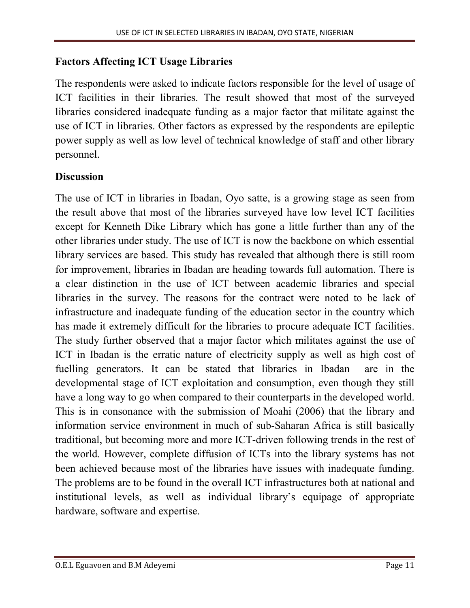### Factors Affecting ICT Usage Libraries

The respondents were asked to indicate factors responsible for the level of usage of ICT facilities in their libraries. The result showed that most of the surveyed libraries considered inadequate funding as a major factor that militate against the use of ICT in libraries. Other factors as expressed by the respondents are epileptic power supply as well as low level of technical knowledge of staff and other library personnel.

# **Discussion**

The use of ICT in libraries in Ibadan, Oyo satte, is a growing stage as seen from the result above that most of the libraries surveyed have low level ICT facilities except for Kenneth Dike Library which has gone a little further than any of the other libraries under study. The use of ICT is now the backbone on which essential library services are based. This study has revealed that although there is still room for improvement, libraries in Ibadan are heading towards full automation. There is a clear distinction in the use of ICT between academic libraries and special libraries in the survey. The reasons for the contract were noted to be lack of infrastructure and inadequate funding of the education sector in the country which has made it extremely difficult for the libraries to procure adequate ICT facilities. The study further observed that a major factor which militates against the use of ICT in Ibadan is the erratic nature of electricity supply as well as high cost of fuelling generators. It can be stated that libraries in Ibadan are in the developmental stage of ICT exploitation and consumption, even though they still have a long way to go when compared to their counterparts in the developed world. This is in consonance with the submission of Moahi (2006) that the library and information service environment in much of sub-Saharan Africa is still basically traditional, but becoming more and more ICT-driven following trends in the rest of the world. However, complete diffusion of ICTs into the library systems has not been achieved because most of the libraries have issues with inadequate funding. The problems are to be found in the overall ICT infrastructures both at national and institutional levels, as well as individual library's equipage of appropriate hardware, software and expertise.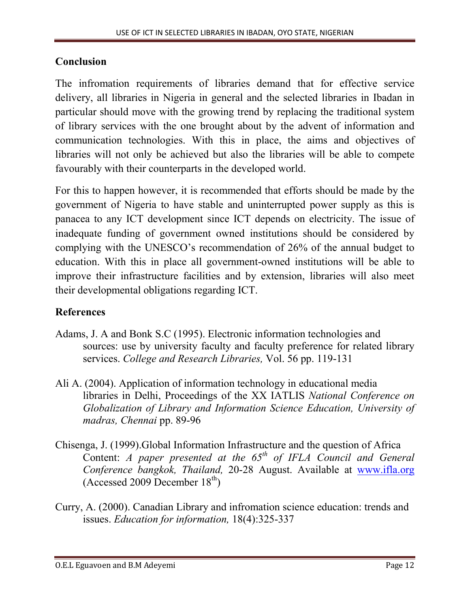### Conclusion

The infromation requirements of libraries demand that for effective service delivery, all libraries in Nigeria in general and the selected libraries in Ibadan in particular should move with the growing trend by replacing the traditional system of library services with the one brought about by the advent of information and communication technologies. With this in place, the aims and objectives of libraries will not only be achieved but also the libraries will be able to compete favourably with their counterparts in the developed world.

For this to happen however, it is recommended that efforts should be made by the government of Nigeria to have stable and uninterrupted power supply as this is panacea to any ICT development since ICT depends on electricity. The issue of inadequate funding of government owned institutions should be considered by complying with the UNESCO's recommendation of 26% of the annual budget to education. With this in place all government-owned institutions will be able to improve their infrastructure facilities and by extension, libraries will also meet their developmental obligations regarding ICT.

# References

- Adams, J. A and Bonk S.C (1995). Electronic information technologies and sources: use by university faculty and faculty preference for related library services. *College and Research Libraries,* Vol. 56 pp. 119-131
- Ali A. (2004). Application of information technology in educational media libraries in Delhi, Proceedings of the XX IATLIS *National Conference on Globalization of Library and Information Science Education, University of madras, Chennai* pp. 89-96
- Chisenga, J. (1999).Global Information Infrastructure and the question of Africa Content: *A paper presented at the 65th of IFLA Council and General Conference bangkok, Thailand,* 20-28 August. Available at www.ifla.org (Accessed 2009 December  $18<sup>th</sup>$ )
- Curry, A. (2000). Canadian Library and infromation science educati[on: trends and](http://www.ifla.org/)  issues. *Education for information,* 18(4):325-337